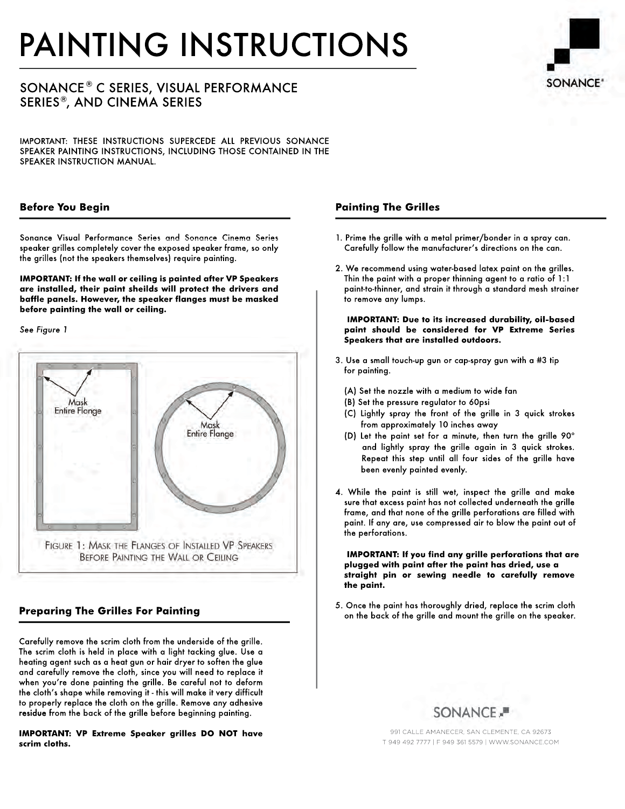# PAINTING INSTRUCTIONS

## $\mathsf{SONANCE}^\circledast$  C SERIES, VISUAL PERFORMANCE  ${\sf SERIES}^{\circledast},$  AND CINEMA SERIES

IMPORTANT: THESE INSTRUCTIONS SUPERCEDE ALL PREVIOUS SONANCE SPEAKER PAINTING INSTRUCTIONS, INCLUDING THOSE CONTAINED IN THE SPEAKER INSTRUCTION MANUAL.

#### **Before You Begin**

Sonance Visual Performance Series and Sonance Cinema Series speaker grilles completely cover the exposed speaker frame, so only the grilles (not the speakers themselves) require painting.

**IMPORTANT: If the wall or ceiling is painted after VP Speakers are installed, their paint sheilds will protect the drivers and baffle panels. However, the speaker flanges must be masked before painting the wall or ceiling.** 

*See Figure 1*



## **Preparing The Grilles For Painting**

Carefully remove the scrim cloth from the underside of the grille. The scrim cloth is held in place with a light tacking glue. Use a heating agent such as a heat gun or hair dryer to soften the glue and carefully remove the cloth, since you will need to replace it when you're done painting the grille. Be careful not to deform the cloth's shape while removing it - this will make it very difficult to properly replace the cloth on the grille. Remove any adhesive residue from the back of the grille before beginning painting.

**IMPORTANT: VP Extreme Speaker grilles DO NOT have scrim cloths.**

### **Painting The Grilles**

- 1. Prime the grille with a metal primer/bonder in a spray can. Carefully follow the manufacturer's directions on the can.
- 2. We recommend using water-based latex paint on the grilles. Thin the paint with a proper thinning agent to a ratio of 1:1 paint-to-thinner, and strain it through a standard mesh strainer to remove any lumps.

 **IMPORTANT: Due to its increased durability, oil-based paint should be considered for VP Extreme Series Speakers that are installed outdoors.**

- 3. Use a small touch-up gun or cap-spray gun with a #3 tip for painting.
	- (A) Set the nozzle with a medium to wide fan
	- (B) Set the pressure regulator to 60psi
	- (C) Lightly spray the front of the grille in 3 quick strokes from approximately 10 inches away
	- (D) Let the paint set for a minute, then turn the grille 90º and lightly spray the grille again in 3 quick strokes. Repeat this step until all four sides of the grille have been evenly painted evenly.
- 4. While the paint is still wet, inspect the grille and make sure that excess paint has not collected underneath the grille frame, and that none of the grille perforations are filled with paint. If any are, use compressed air to blow the paint out of the perforations.

 **IMPORTANT: If you find any grille perforations that are plugged with paint after the paint has dried, use a straight pin or sewing needle to carefully remove the paint.**

5. Once the paint has thoroughly dried, replace the scrim cloth on the back of the grille and mount the grille on the speaker.



991 CALLE AMANECER, SAN CLEMENTE, CA 92673 T 949 492 7777 | F 949 361 5579 | WWW.SONANCE.COM